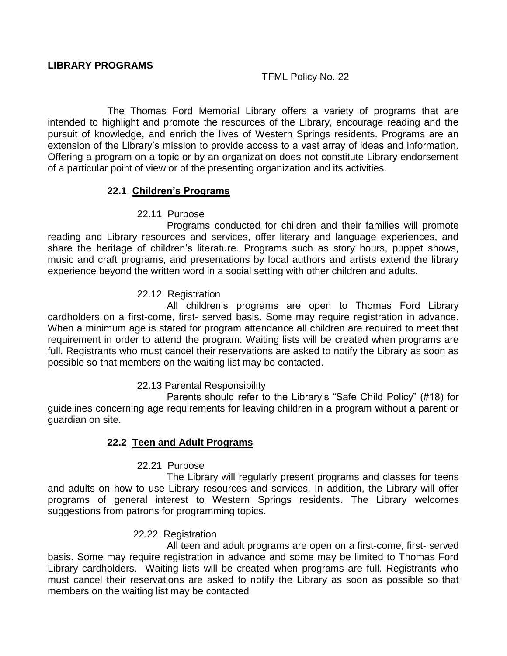## TFML Policy No. 22

The Thomas Ford Memorial Library offers a variety of programs that are intended to highlight and promote the resources of the Library, encourage reading and the pursuit of knowledge, and enrich the lives of Western Springs residents. Programs are an extension of the Library's mission to provide access to a vast array of ideas and information. Offering a program on a topic or by an organization does not constitute Library endorsement of a particular point of view or of the presenting organization and its activities.

### **22.1 Children's Programs**

22.11 Purpose

Programs conducted for children and their families will promote reading and Library resources and services, offer literary and language experiences, and share the heritage of children's literature. Programs such as story hours, puppet shows, music and craft programs, and presentations by local authors and artists extend the library experience beyond the written word in a social setting with other children and adults.

## 22.12 Registration

All children's programs are open to Thomas Ford Library cardholders on a first-come, first- served basis. Some may require registration in advance. When a minimum age is stated for program attendance all children are required to meet that requirement in order to attend the program. Waiting lists will be created when programs are full. Registrants who must cancel their reservations are asked to notify the Library as soon as possible so that members on the waiting list may be contacted.

### 22.13 Parental Responsibility

Parents should refer to the Library's "Safe Child Policy" (#18) for guidelines concerning age requirements for leaving children in a program without a parent or guardian on site.

### **22.2 Teen and Adult Programs**

22.21 Purpose

The Library will regularly present programs and classes for teens and adults on how to use Library resources and services. In addition, the Library will offer programs of general interest to Western Springs residents. The Library welcomes suggestions from patrons for programming topics.

### 22.22 Registration

All teen and adult programs are open on a first-come, first- served basis. Some may require registration in advance and some may be limited to Thomas Ford Library cardholders. Waiting lists will be created when programs are full. Registrants who must cancel their reservations are asked to notify the Library as soon as possible so that members on the waiting list may be contacted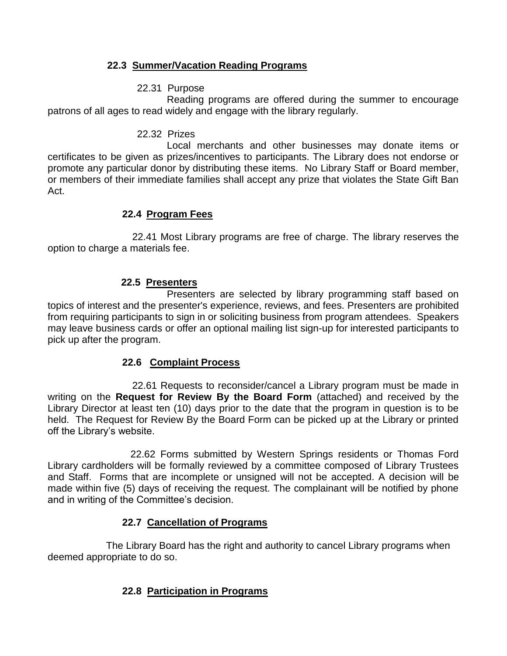# **22.3 Summer/Vacation Reading Programs**

# 22.31 Purpose

Reading programs are offered during the summer to encourage patrons of all ages to read widely and engage with the library regularly.

#### 22.32 Prizes

Local merchants and other businesses may donate items or certificates to be given as prizes/incentives to participants. The Library does not endorse or promote any particular donor by distributing these items. No Library Staff or Board member, or members of their immediate families shall accept any prize that violates the State Gift Ban Act.

## **22.4 Program Fees**

 22.41 Most Library programs are free of charge. The library reserves the option to charge a materials fee.

## **22.5 Presenters**

Presenters are selected by library programming staff based on topics of interest and the presenter's experience, reviews, and fees. Presenters are prohibited from requiring participants to sign in or soliciting business from program attendees. Speakers may leave business cards or offer an optional mailing list sign-up for interested participants to pick up after the program.

### **22.6 Complaint Process**

 22.61 Requests to reconsider/cancel a Library program must be made in writing on the **Request for Review By the Board Form** (attached) and received by the Library Director at least ten (10) days prior to the date that the program in question is to be held. The Request for Review By the Board Form can be picked up at the Library or printed off the Library's website.

 22.62 Forms submitted by Western Springs residents or Thomas Ford Library cardholders will be formally reviewed by a committee composed of Library Trustees and Staff. Forms that are incomplete or unsigned will not be accepted. A decision will be made within five (5) days of receiving the request. The complainant will be notified by phone and in writing of the Committee's decision.

# **22.7 Cancellation of Programs**

 The Library Board has the right and authority to cancel Library programs when deemed appropriate to do so.

# **22.8 Participation in Programs**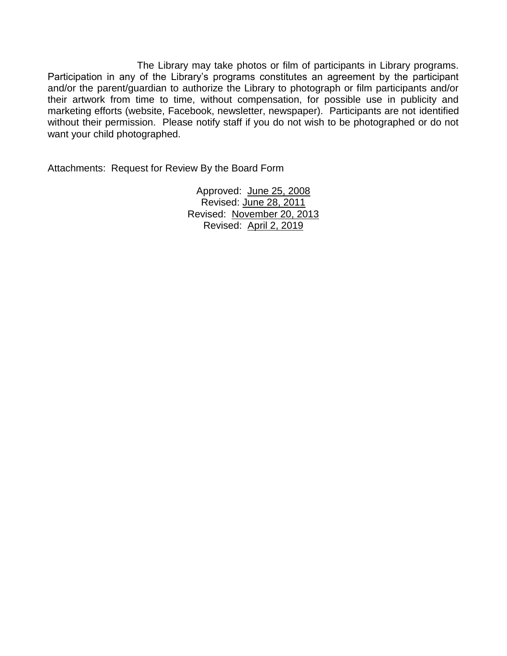The Library may take photos or film of participants in Library programs. Participation in any of the Library's programs constitutes an agreement by the participant and/or the parent/guardian to authorize the Library to photograph or film participants and/or their artwork from time to time, without compensation, for possible use in publicity and marketing efforts (website, Facebook, newsletter, newspaper). Participants are not identified without their permission. Please notify staff if you do not wish to be photographed or do not want your child photographed.

Attachments: Request for Review By the Board Form

Approved: June 25, 2008 Revised: June 28, 2011 Revised: November 20, 2013 Revised: April 2, 2019